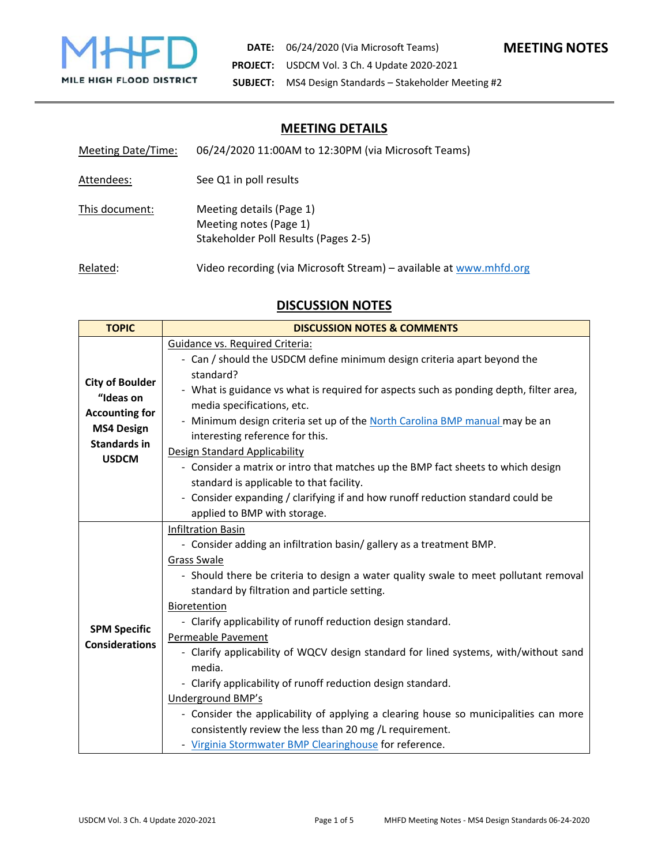

| Meeting Date/Time: | 06/24/2020 11:00AM to 12:30PM (via Microsoft Teams)                                        |
|--------------------|--------------------------------------------------------------------------------------------|
| Attendees:         | See Q1 in poll results                                                                     |
| This document:     | Meeting details (Page 1)<br>Meeting notes (Page 1)<br>Stakeholder Poll Results (Pages 2-5) |
| Related:           | Video recording (via Microsoft Stream) - available at www.mhfd.org                         |

# **DISCUSSION NOTES**

| <b>TOPIC</b>                                                                                             | <b>DISCUSSION NOTES &amp; COMMENTS</b>                                                                                                                                                                                                                                                                                                                                                                                                                                                                                                                                                                                                                                                                                                                                    |  |
|----------------------------------------------------------------------------------------------------------|---------------------------------------------------------------------------------------------------------------------------------------------------------------------------------------------------------------------------------------------------------------------------------------------------------------------------------------------------------------------------------------------------------------------------------------------------------------------------------------------------------------------------------------------------------------------------------------------------------------------------------------------------------------------------------------------------------------------------------------------------------------------------|--|
| <b>City of Boulder</b><br>"Ideas on<br><b>Accounting for</b><br><b>MS4 Design</b><br><b>Standards in</b> | Guidance vs. Required Criteria:<br>- Can / should the USDCM define minimum design criteria apart beyond the<br>standard?<br>- What is guidance vs what is required for aspects such as ponding depth, filter area,<br>media specifications, etc.<br>- Minimum design criteria set up of the North Carolina BMP manual may be an<br>interesting reference for this.<br>Design Standard Applicability                                                                                                                                                                                                                                                                                                                                                                       |  |
| <b>USDCM</b>                                                                                             | - Consider a matrix or intro that matches up the BMP fact sheets to which design<br>standard is applicable to that facility.<br>- Consider expanding / clarifying if and how runoff reduction standard could be<br>applied to BMP with storage.                                                                                                                                                                                                                                                                                                                                                                                                                                                                                                                           |  |
| <b>SPM Specific</b><br><b>Considerations</b>                                                             | <b>Infiltration Basin</b><br>- Consider adding an infiltration basin/ gallery as a treatment BMP.<br>Grass Swale<br>- Should there be criteria to design a water quality swale to meet pollutant removal<br>standard by filtration and particle setting.<br>Bioretention<br>- Clarify applicability of runoff reduction design standard.<br>Permeable Pavement<br>- Clarify applicability of WQCV design standard for lined systems, with/without sand<br>media.<br>- Clarify applicability of runoff reduction design standard.<br><b>Underground BMP's</b><br>- Consider the applicability of applying a clearing house so municipalities can more<br>consistently review the less than 20 mg /L requirement.<br>- Virginia Stormwater BMP Clearinghouse for reference. |  |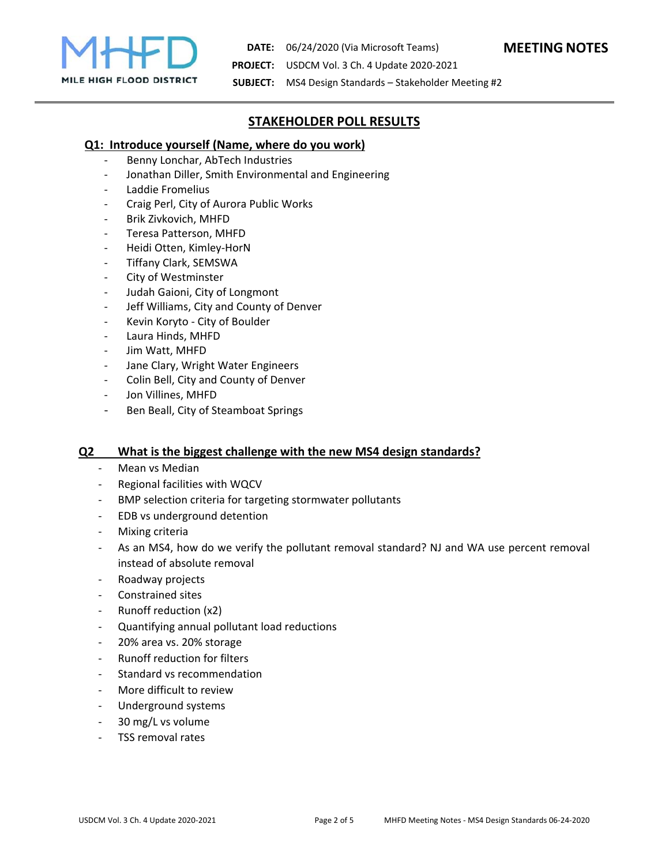

**DATE:**  06/24/2020 (Via Microsoft Teams) **MEETING NOTES PROJECT:**  USDCM Vol. 3 Ch. 4 Update 2020‐2021

**SUBJECT:**  MS4 Design Standards – Stakeholder Meeting #2

## **STAKEHOLDER POLL RESULTS**

### **Q1: Introduce yourself (Name, where do you work)**

- ‐ Benny Lonchar, AbTech Industries
- ‐ Jonathan Diller, Smith Environmental and Engineering
- ‐ Laddie Fromelius
- ‐ Craig Perl, City of Aurora Public Works
- ‐ Brik Zivkovich, MHFD
- ‐ Teresa Patterson, MHFD
- ‐ Heidi Otten, Kimley‐HorN
- ‐ Tiffany Clark, SEMSWA
- ‐ City of Westminster
- ‐ Judah Gaioni, City of Longmont
- ‐ Jeff Williams, City and County of Denver
- ‐ Kevin Koryto ‐ City of Boulder
- ‐ Laura Hinds, MHFD
- Jim Watt, MHFD
- ‐ Jane Clary, Wright Water Engineers
- ‐ Colin Bell, City and County of Denver
- Jon Villines, MHFD
- ‐ Ben Beall, City of Steamboat Springs

#### **Q2 What is the biggest challenge with the new MS4 design standards?**

- Mean vs Median
- ‐ Regional facilities with WQCV
- ‐ BMP selection criteria for targeting stormwater pollutants
- ‐ EDB vs underground detention
- ‐ Mixing criteria
- ‐ As an MS4, how do we verify the pollutant removal standard? NJ and WA use percent removal instead of absolute removal
- ‐ Roadway projects
- ‐ Constrained sites
- ‐ Runoff reduction (x2)
- ‐ Quantifying annual pollutant load reductions
- ‐ 20% area vs. 20% storage
- ‐ Runoff reduction for filters
- ‐ Standard vs recommendation
- More difficult to review
- ‐ Underground systems
- ‐ 30 mg/L vs volume
- ‐ TSS removal rates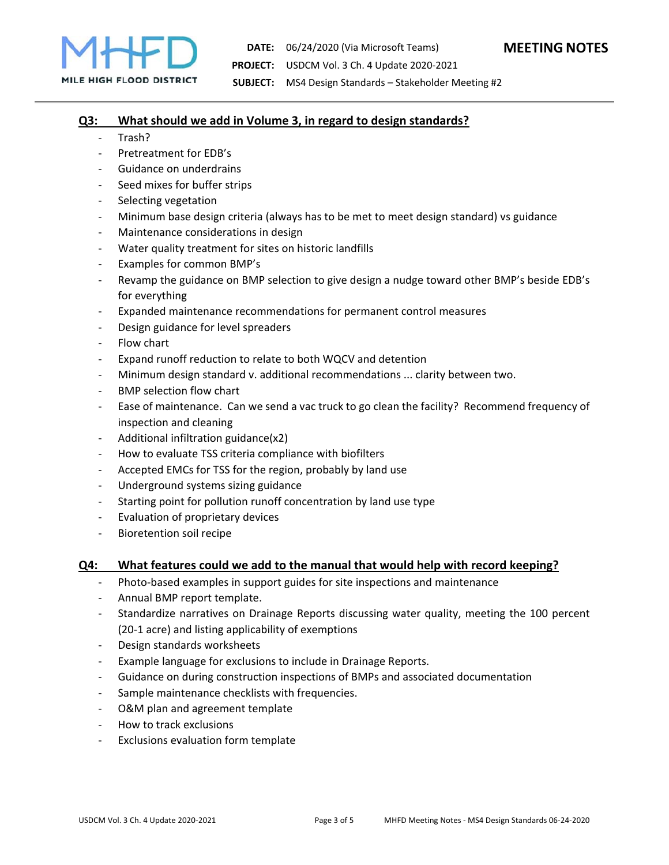

#### **Q3: What should we add in Volume 3, in regard to design standards?**

- ‐ Trash?
- ‐ Pretreatment for EDB's
- Guidance on underdrains
- Seed mixes for buffer strips
- ‐ Selecting vegetation
- ‐ Minimum base design criteria (always has to be met to meet design standard) vs guidance
- ‐ Maintenance considerations in design
- ‐ Water quality treatment for sites on historic landfills
- ‐ Examples for common BMP's
- ‐ Revamp the guidance on BMP selection to give design a nudge toward other BMP's beside EDB's for everything
- ‐ Expanded maintenance recommendations for permanent control measures
- ‐ Design guidance for level spreaders
- ‐ Flow chart
- ‐ Expand runoff reduction to relate to both WQCV and detention
- ‐ Minimum design standard v. additional recommendations ... clarity between two.
- ‐ BMP selection flow chart
- ‐ Ease of maintenance. Can we send a vac truck to go clean the facility? Recommend frequency of inspection and cleaning
- ‐ Additional infiltration guidance(x2)
- ‐ How to evaluate TSS criteria compliance with biofilters
- ‐ Accepted EMCs for TSS for the region, probably by land use
- ‐ Underground systems sizing guidance
- Starting point for pollution runoff concentration by land use type
- ‐ Evaluation of proprietary devices
- ‐ Bioretention soil recipe

#### **Q4: What features could we add to the manual that would help with record keeping?**

- Photo-based examples in support guides for site inspections and maintenance
- ‐ Annual BMP report template.
- ‐ Standardize narratives on Drainage Reports discussing water quality, meeting the 100 percent (20‐1 acre) and listing applicability of exemptions
- ‐ Design standards worksheets
- ‐ Example language for exclusions to include in Drainage Reports.
- ‐ Guidance on during construction inspections of BMPs and associated documentation
- ‐ Sample maintenance checklists with frequencies.
- O&M plan and agreement template
- ‐ How to track exclusions
- ‐ Exclusions evaluation form template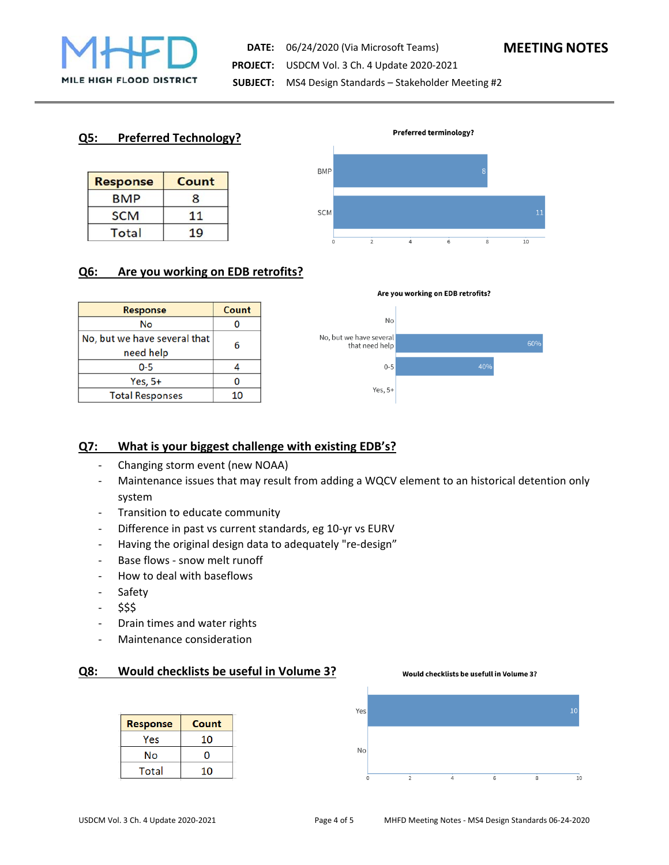

**DATE:**  06/24/2020 (Via Microsoft Teams) **MEETING NOTES PROJECT:**  USDCM Vol. 3 Ch. 4 Update 2020‐2021 **SUBJECT:**  MS4 Design Standards – Stakeholder Meeting #2

### **Q5: Preferred Technology?**

| <b>Response</b> | Count          |
|-----------------|----------------|
| <b>BMP</b>      | 8              |
| <b>SCM</b>      | 11             |
| Total           | $\overline{0}$ |



### **Q6: Are you working on EDB retrofits?**

| <b>Response</b>              | Count |  |
|------------------------------|-------|--|
| No                           |       |  |
| No, but we have several that | 6     |  |
| need help                    |       |  |
| $0 - 5$                      |       |  |
| Yes, $5+$                    |       |  |
| <b>Total Responses</b>       | 10    |  |





### **Q7: What is your biggest challenge with existing EDB's?**

- ‐ Changing storm event (new NOAA)
- ‐ Maintenance issues that may result from adding a WQCV element to an historical detention only system
- ‐ Transition to educate community
- ‐ Difference in past vs current standards, eg 10‐yr vs EURV
- ‐ Having the original design data to adequately "re‐design"
- ‐ Base flows ‐ snow melt runoff
- ‐ How to deal with baseflows
- ‐ Safety
- ‐ \$\$\$
- ‐ Drain times and water rights
- ‐ Maintenance consideration

### **Q8: Would checklists be useful in Volume 3?**

| <b>Response</b> | Count |
|-----------------|-------|
| Yes             | 10    |
| No              | n     |
| Total           | 10    |